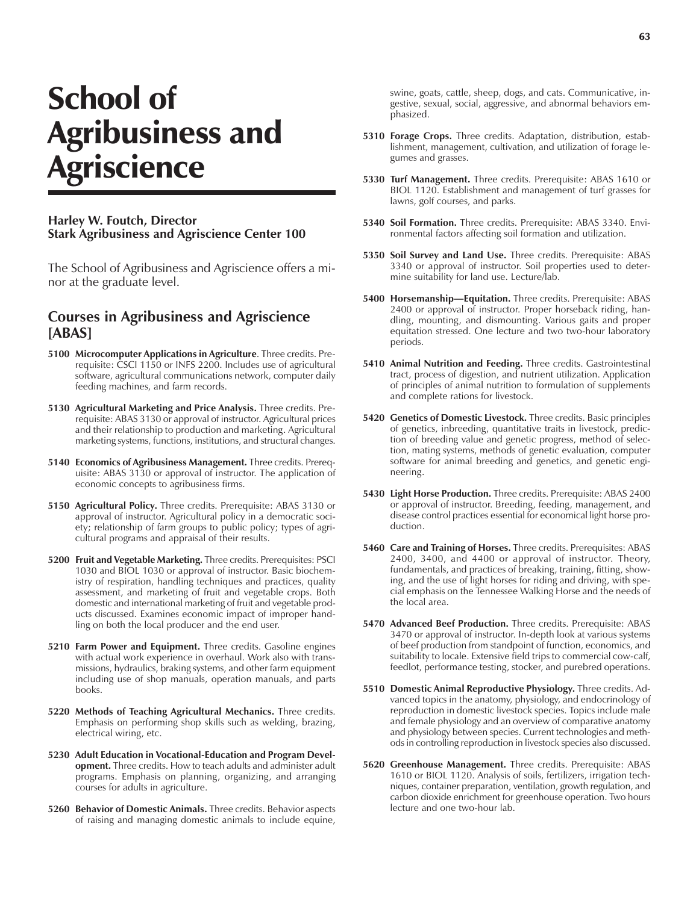## School of Agribusiness and **Agriscience**

## **Harley W. Foutch, Director Stark Agribusiness and Agriscience Center 100**

The School of Agribusiness and Agriscience offers a minor at the graduate level.

## **Courses in Agribusiness and Agriscience [ABAS]**

- **5100 Microcomputer Applications in Agriculture**. Three credits. Prerequisite: CSCI 1150 or INFS 2200. Includes use of agricultural software, agricultural communications network, computer daily feeding machines, and farm records.
- **5130 Agricultural Marketing and Price Analysis.** Three credits. Prerequisite: ABAS 3130 or approval of instructor. Agricultural prices and their relationship to production and marketing. Agricultural marketing systems, functions, institutions, and structural changes.
- **5140 Economics of Agribusiness Management.** Three credits. Prerequisite: ABAS 3130 or approval of instructor. The application of economic concepts to agribusiness firms.
- **5150 Agricultural Policy.** Three credits. Prerequisite: ABAS 3130 or approval of instructor. Agricultural policy in a democratic society; relationship of farm groups to public policy; types of agricultural programs and appraisal of their results.
- **5200 Fruit and Vegetable Marketing.** Three credits. Prerequisites: PSCI 1030 and BIOL 1030 or approval of instructor. Basic biochemistry of respiration, handling techniques and practices, quality assessment, and marketing of fruit and vegetable crops. Both domestic and international marketing of fruit and vegetable products discussed. Examines economic impact of improper handling on both the local producer and the end user.
- **5210 Farm Power and Equipment.** Three credits. Gasoline engines with actual work experience in overhaul. Work also with transmissions, hydraulics, braking systems, and other farm equipment including use of shop manuals, operation manuals, and parts books.
- **5220 Methods of Teaching Agricultural Mechanics.** Three credits. Emphasis on performing shop skills such as welding, brazing, electrical wiring, etc.
- **5230 Adult Education in Vocational-Education and Program Development.** Three credits. How to teach adults and administer adult programs. Emphasis on planning, organizing, and arranging courses for adults in agriculture.
- **5260 Behavior of Domestic Animals.** Three credits. Behavior aspects of raising and managing domestic animals to include equine,

swine, goats, cattle, sheep, dogs, and cats. Communicative, ingestive, sexual, social, aggressive, and abnormal behaviors emphasized.

- **5310 Forage Crops.** Three credits. Adaptation, distribution, establishment, management, cultivation, and utilization of forage legumes and grasses.
- **5330 Turf Management.** Three credits. Prerequisite: ABAS 1610 or BIOL 1120. Establishment and management of turf grasses for lawns, golf courses, and parks.
- **5340 Soil Formation.** Three credits. Prerequisite: ABAS 3340. Environmental factors affecting soil formation and utilization.
- **5350 Soil Survey and Land Use.** Three credits. Prerequisite: ABAS 3340 or approval of instructor. Soil properties used to determine suitability for land use. Lecture/lab.
- **5400 Horsemanship—Equitation.** Three credits. Prerequisite: ABAS 2400 or approval of instructor. Proper horseback riding, handling, mounting, and dismounting. Various gaits and proper equitation stressed. One lecture and two two-hour laboratory periods.
- **5410 Animal Nutrition and Feeding.** Three credits. Gastrointestinal tract, process of digestion, and nutrient utilization. Application of principles of animal nutrition to formulation of supplements and complete rations for livestock.
- **5420 Genetics of Domestic Livestock.** Three credits. Basic principles of genetics, inbreeding, quantitative traits in livestock, prediction of breeding value and genetic progress, method of selection, mating systems, methods of genetic evaluation, computer software for animal breeding and genetics, and genetic engineering.
- **5430 Light Horse Production.** Three credits. Prerequisite: ABAS 2400 or approval of instructor. Breeding, feeding, management, and disease control practices essential for economical light horse production.
- **5460 Care and Training of Horses.** Three credits. Prerequisites: ABAS 2400, 3400, and 4400 or approval of instructor. Theory, fundamentals, and practices of breaking, training, fitting, showing, and the use of light horses for riding and driving, with special emphasis on the Tennessee Walking Horse and the needs of the local area.
- **5470 Advanced Beef Production.** Three credits. Prerequisite: ABAS 3470 or approval of instructor. In-depth look at various systems of beef production from standpoint of function, economics, and suitability to locale. Extensive field trips to commercial cow-calf, feedlot, performance testing, stocker, and purebred operations.
- **5510 Domestic Animal Reproductive Physiology.** Three credits. Advanced topics in the anatomy, physiology, and endocrinology of reproduction in domestic livestock species. Topics include male and female physiology and an overview of comparative anatomy and physiology between species. Current technologies and methods in controlling reproduction in livestock species also discussed.
- **5620 Greenhouse Management.** Three credits. Prerequisite: ABAS 1610 or BIOL 1120. Analysis of soils, fertilizers, irrigation techniques, container preparation, ventilation, growth regulation, and carbon dioxide enrichment for greenhouse operation. Two hours lecture and one two-hour lab.